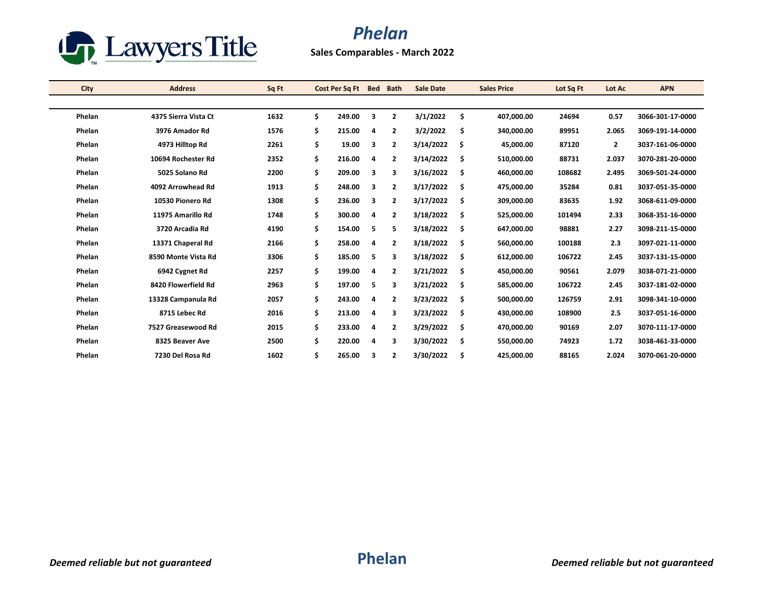

## *Phelan*

**Sales Comparables - March 2022**

| City   | <b>Address</b>       | Sq Ft | Cost Per Sq Ft |   | Bed Bath       | <b>Sale Date</b> | <b>Sales Price</b> | Lot Sq Ft | Lot Ac       | <b>APN</b>       |
|--------|----------------------|-------|----------------|---|----------------|------------------|--------------------|-----------|--------------|------------------|
|        |                      |       |                |   |                |                  |                    |           |              |                  |
| Phelan | 4375 Sierra Vista Ct | 1632  | \$<br>249.00   | 3 | $\overline{2}$ | 3/1/2022         | \$<br>407,000.00   | 24694     | 0.57         | 3066-301-17-0000 |
| Phelan | 3976 Amador Rd       | 1576  | \$<br>215.00   | 4 | $\overline{2}$ | 3/2/2022         | \$<br>340,000.00   | 89951     | 2.065        | 3069-191-14-0000 |
| Phelan | 4973 Hilltop Rd      | 2261  | \$<br>19.00    | 3 | $\overline{2}$ | 3/14/2022        | \$<br>45,000.00    | 87120     | $\mathbf{2}$ | 3037-161-06-0000 |
| Phelan | 10694 Rochester Rd   | 2352  | \$<br>216.00   | 4 | $\overline{2}$ | 3/14/2022        | \$<br>510,000.00   | 88731     | 2.037        | 3070-281-20-0000 |
| Phelan | 5025 Solano Rd       | 2200  | \$<br>209.00   | 3 | 3              | 3/16/2022        | \$<br>460,000.00   | 108682    | 2.495        | 3069-501-24-0000 |
| Phelan | 4092 Arrowhead Rd    | 1913  | \$<br>248.00   | 3 | $\overline{2}$ | 3/17/2022        | \$<br>475,000.00   | 35284     | 0.81         | 3037-051-35-0000 |
| Phelan | 10530 Pionero Rd     | 1308  | \$<br>236.00   | 3 | $\overline{2}$ | 3/17/2022        | \$<br>309,000.00   | 83635     | 1.92         | 3068-611-09-0000 |
| Phelan | 11975 Amarillo Rd    | 1748  | \$<br>300.00   | 4 | $\overline{2}$ | 3/18/2022        | \$<br>525,000.00   | 101494    | 2.33         | 3068-351-16-0000 |
| Phelan | 3720 Arcadia Rd      | 4190  | \$<br>154.00   | 5 | 5              | 3/18/2022        | \$<br>647,000.00   | 98881     | 2.27         | 3098-211-15-0000 |
| Phelan | 13371 Chaperal Rd    | 2166  | \$<br>258.00   | 4 | $\overline{2}$ | 3/18/2022        | \$<br>560,000.00   | 100188    | 2.3          | 3097-021-11-0000 |
| Phelan | 8590 Monte Vista Rd  | 3306  | \$<br>185.00   | 5 | 3              | 3/18/2022        | \$<br>612,000.00   | 106722    | 2.45         | 3037-131-15-0000 |
| Phelan | 6942 Cygnet Rd       | 2257  | \$<br>199.00   | 4 | $\overline{2}$ | 3/21/2022        | \$<br>450,000.00   | 90561     | 2.079        | 3038-071-21-0000 |
| Phelan | 8420 Flowerfield Rd  | 2963  | \$<br>197.00   | 5 | 3              | 3/21/2022        | \$<br>585,000.00   | 106722    | 2.45         | 3037-181-02-0000 |
| Phelan | 13328 Campanula Rd   | 2057  | \$<br>243.00   | 4 | $\overline{2}$ | 3/23/2022        | \$<br>500,000.00   | 126759    | 2.91         | 3098-341-10-0000 |
| Phelan | 8715 Lebec Rd        | 2016  | \$<br>213.00   | 4 | 3              | 3/23/2022        | \$<br>430,000.00   | 108900    | 2.5          | 3037-051-16-0000 |
| Phelan | 7527 Greasewood Rd   | 2015  | \$<br>233.00   | 4 | $\overline{2}$ | 3/29/2022        | \$<br>470,000.00   | 90169     | 2.07         | 3070-111-17-0000 |
| Phelan | 8325 Beaver Ave      | 2500  | \$<br>220.00   | 4 | 3              | 3/30/2022        | \$<br>550,000.00   | 74923     | 1.72         | 3038-461-33-0000 |
| Phelan | 7230 Del Rosa Rd     | 1602  | \$<br>265.00   | 3 | $\overline{2}$ | 3/30/2022        | \$<br>425,000.00   | 88165     | 2.024        | 3070-061-20-0000 |